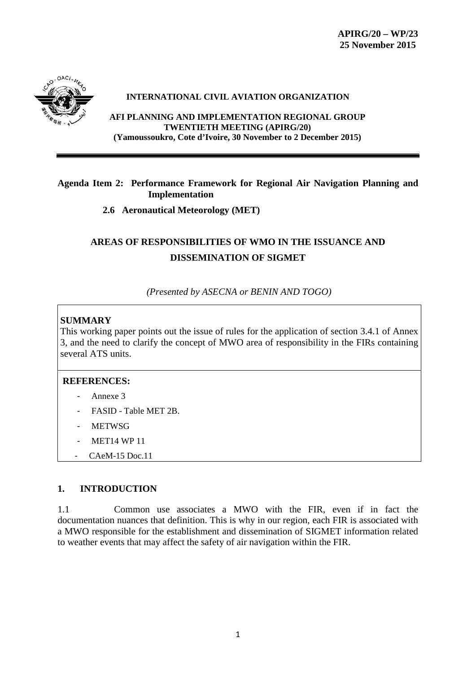

#### **INTERNATIONAL CIVIL AVIATION ORGANIZATION**

**AFI PLANNING AND IMPLEMENTATION REGIONAL GROUP TWENTIETH MEETING (APIRG/20) (Yamoussoukro, Cote d'Ivoire, 30 November to 2 December 2015)**

## **Agenda Item 2: Performance Framework for Regional Air Navigation Planning and Implementation**

**2.6 Aeronautical Meteorology (MET)**

# **AREAS OF RESPONSIBILITIES OF WMO IN THE ISSUANCE AND DISSEMINATION OF SIGMET**

*(Presented by ASECNA or BENIN AND TOGO)*

## **SUMMARY**

This working paper points out the issue of rules for the application of section 3.4.1 of Annex 3, and the need to clarify the concept of MWO area of responsibility in the FIRs containing several ATS units.

## **REFERENCES:**

- Annexe 3
- FASID Table MET 2B.
- **METWSG**
- **MET14 WP 11**
- CAeM-15 Doc.11

## **1. INTRODUCTION**

1.1 Common use associates a MWO with the FIR, even if in fact the documentation nuances that definition. This is why in our region, each FIR is associated with a MWO responsible for the establishment and dissemination of SIGMET information related to weather events that may affect the safety of air navigation within the FIR.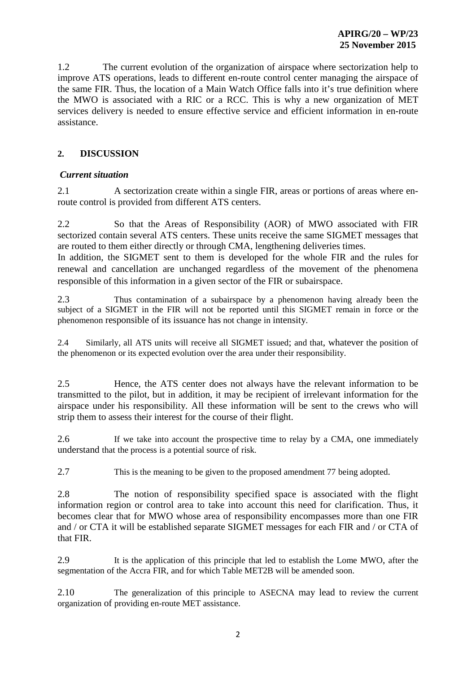1.2 The current evolution of the organization of airspace where sectorization help to improve ATS operations, leads to different en-route control center managing the airspace of the same FIR. Thus, the location of a Main Watch Office falls into it's true definition where the MWO is associated with a RIC or a RCC. This is why a new organization of MET services delivery is needed to ensure effective service and efficient information in en-route assistance.

## **2. DISCUSSION**

#### *Current situation*

2.1 A sectorization create within a single FIR, areas or portions of areas where enroute control is provided from different ATS centers.

2.2 So that the Areas of Responsibility (AOR) of MWO associated with FIR sectorized contain several ATS centers. These units receive the same SIGMET messages that are routed to them either directly or through CMA, lengthening deliveries times.

In addition, the SIGMET sent to them is developed for the whole FIR and the rules for renewal and cancellation are unchanged regardless of the movement of the phenomena responsible of this information in a given sector of the FIR or subairspace.

2.3 Thus contamination of a subairspace by a phenomenon having already been the subject of a SIGMET in the FIR will not be reported until this SIGMET remain in force or the phenomenon responsible of its issuance has not change in intensity.

2.4 Similarly, all ATS units will receive all SIGMET issued; and that, whatever the position of the phenomenon or its expected evolution over the area under their responsibility.

2.5 Hence, the ATS center does not always have the relevant information to be transmitted to the pilot, but in addition, it may be recipient of irrelevant information for the airspace under his responsibility. All these information will be sent to the crews who will strip them to assess their interest for the course of their flight.

2.6 If we take into account the prospective time to relay by a CMA, one immediately understand that the process is a potential source of risk.

2.7 This is the meaning to be given to the proposed amendment 77 being adopted.

2.8 The notion of responsibility specified space is associated with the flight information region or control area to take into account this need for clarification. Thus, it becomes clear that for MWO whose area of responsibility encompasses more than one FIR and / or CTA it will be established separate SIGMET messages for each FIR and / or CTA of that FIR.

2.9 It is the application of this principle that led to establish the Lome MWO, after the segmentation of the Accra FIR, and for which Table MET2B will be amended soon.

2.10 The generalization of this principle to ASECNA may lead to review the current organization of providing en-route MET assistance.

2